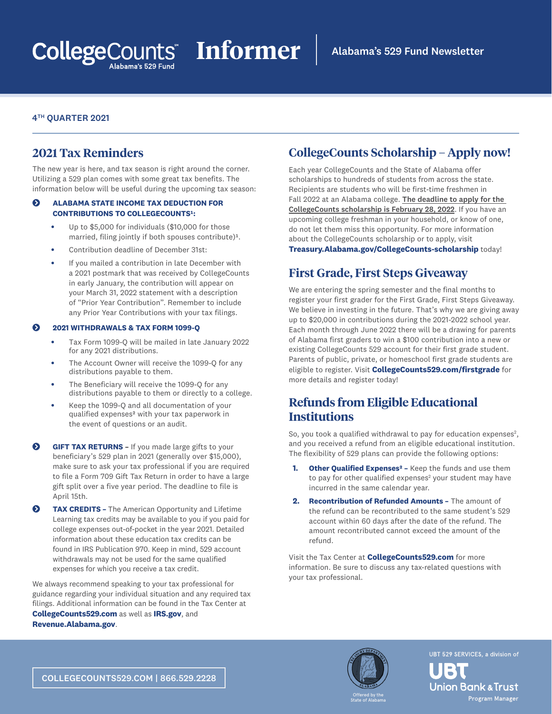## 4TH QUARTER 2021

## **2021 Tax Reminders**

The new year is here, and tax season is right around the corner. Utilizing a 529 plan comes with some great tax benefits. The information below will be useful during the upcoming tax season:

## **Q** ALABAMA STATE INCOME TAX DEDUCTION FOR **CONTRIBUTIONS TO COLLEGECOUNTS1:**

- **•** Up to \$5,000 for individuals (\$10,000 for those married, filing jointly if both spouses contribute)<sup>1</sup>.
- **•** Contribution deadline of December 31st:
- **•** If you mailed a contribution in late December with a 2021 postmark that was received by CollegeCounts in early January, the contribution will appear on your March 31, 2022 statement with a description of "Prior Year Contribution". Remember to include any Prior Year Contributions with your tax filings.

#### į **2021 WITHDRAWALS & TAX FORM 1099-Q**

- **•** Tax Form 1099-Q will be mailed in late January 2022 for any 2021 distributions.
- **•** The Account Owner will receive the 1099-Q for any distributions payable to them.
- **•** The Beneficiary will receive the 1099-Q for any distributions payable to them or directly to a college.
- **•** Keep the 1099-Q and all documentation of your qualified expenses² with your tax paperwork in the event of questions or an audit.
- $\odot$  **GIFT TAX RETURNS** If you made large gifts to your beneficiary's 529 plan in 2021 (generally over \$15,000), make sure to ask your tax professional if you are required to file a Form 709 Gift Tax Return in order to have a large gift split over a five year period. The deadline to file is April 15th.
- **TAX CREDITS -** The American Opportunity and Lifetime Learning tax credits may be available to you if you paid for college expenses out-of-pocket in the year 2021. Detailed information about these education tax credits can be found in IRS Publication 970. Keep in mind, 529 account withdrawals may not be used for the same qualified expenses for which you receive a tax credit.

We always recommend speaking to your tax professional for guidance regarding your individual situation and any required tax filings. Additional information can be found in the Tax Center at **[CollegeCounts529.com](http://CollegeCounts529.com)** as well as **[IRS.gov](http://IRS.gov)**, and **[Revenue.Alabama.gov](http://Revenue.Alabama.gov)**.

# **CollegeCounts Scholarship – Apply now!**

Each year CollegeCounts and the State of Alabama offer scholarships to hundreds of students from across the state. Recipients are students who will be first-time freshmen in Fall 2022 at an Alabama college. The deadline to apply for the CollegeCounts scholarship is February 28, 2022. If you have an upcoming college freshman in your household, or know of one, do not let them miss this opportunity. For more information about the CollegeCounts scholarship or to apply, visit

**[Treasury.Alabama.gov/CollegeCounts-scholarship](http://Treasury.Alabama.gov/CollegeCounts-scholarship)** today!

## **First Grade, First Steps Giveaway**

We are entering the spring semester and the final months to register your first grader for the First Grade, First Steps Giveaway. We believe in investing in the future. That's why we are giving away up to \$20,000 in contributions during the 2021-2022 school year. Each month through June 2022 there will be a drawing for parents of Alabama first graders to win a \$100 contribution into a new or existing CollegeCounts 529 account for their first grade student. Parents of public, private, or homeschool first grade students are eligible to register. Visit **[CollegeCounts529.com/firstgrade](http://CollegeCounts529.com/firstgrade)** for more details and register today!

# **Refunds from Eligible Educational Institutions**

So, you took a qualified withdrawal to pay for education expenses $2$ , and you received a refund from an eligible educational institution. The flexibility of 529 plans can provide the following options:

- **1. Other Qualified Expenses² –** Keep the funds and use them to pay for other qualified expenses $^2$  your student may have incurred in the same calendar year.
- **2. Recontribution of Refunded Amounts –** The amount of the refund can be recontributed to the same student's 529 account within 60 days after the date of the refund. The amount recontributed cannot exceed the amount of the refund.

Visit the Tax Center at **[CollegeCounts529.com](http://CollegeCounts529.com)** for more information. Be sure to discuss any tax-related questions with your tax professional.



UBT 529 SERVICES, a division of

**Union Bank & Trust** Program Manager